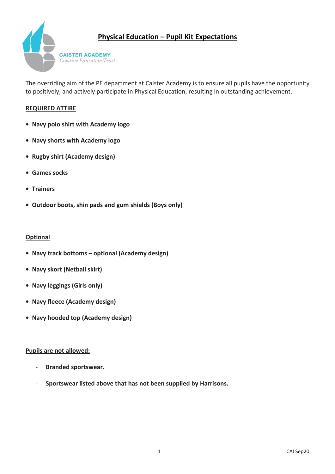## **Physical Education – Pupil Kit Expectations**



The overriding aim of the PE department at Caister Academy is to ensure all pupils have the opportunity to positively, and actively participate in Physical Education, resulting in outstanding achievement.

#### **REQUIRED ATTIRE**

- **Navy polo shirt with Academy logo**
- **Navy shorts with Academy logo**
- **• Rugby shirt (Academy design)**
- **Games socks**
- **Trainers**
- **Outdoor boots, shin pads and gum shields (Boys only)**

#### **Optional**

- **Navy track bottoms – optional (Academy design)**
- **Navy skort (Netball skirt)**
- **• Navy leggings (Girls only)**
- **Navy fleece (Academy design)**
- **Navy hooded top (Academy design)**

#### **Pupils are not allowed:**

- **Branded sportswear.**
- **Sportswear listed above that has not been supplied by Harrisons.**